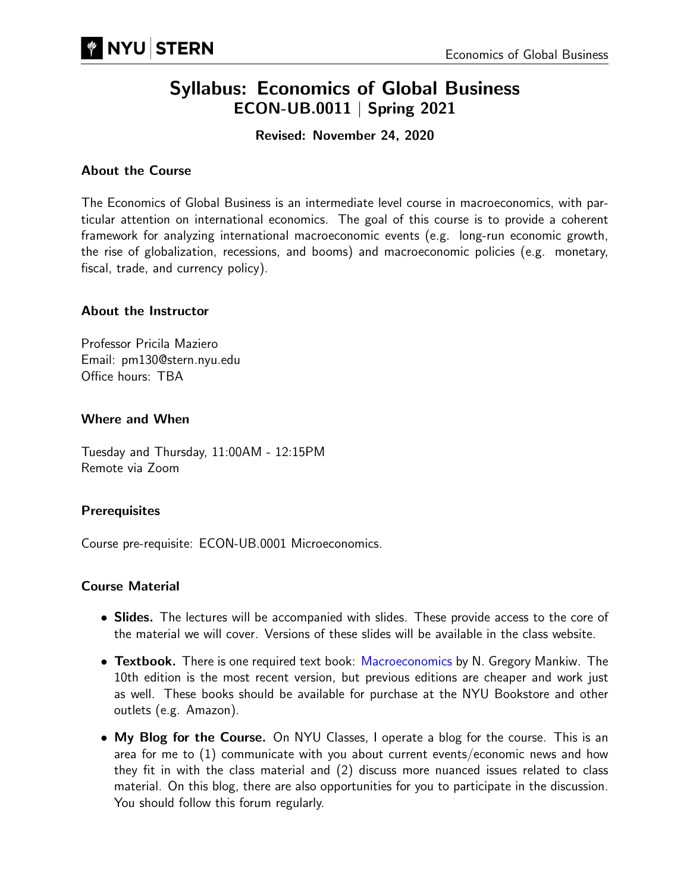# Syllabus: Economics of Global Business ECON-UB.0011 | Spring 2021

Revised: November 24, 2020

#### About the Course

The Economics of Global Business is an intermediate level course in macroeconomics, with particular attention on international economics. The goal of this course is to provide a coherent framework for analyzing international macroeconomic events (e.g. long-run economic growth, the rise of globalization, recessions, and booms) and macroeconomic policies (e.g. monetary, fiscal, trade, and currency policy).

#### About the Instructor

Professor Pricila Maziero Email: pm130@stern.nyu.edu Office hours: TBA

#### Where and When

Tuesday and Thursday, 11:00AM - 12:15PM Remote via Zoom

## **Prerequisites**

Course pre-requisite: ECON-UB.0001 Microeconomics.

#### Course Material

- Slides. The lectures will be accompanied with slides. These provide access to the core of the material we will cover. Versions of these slides will be available in the class website.
- Textbook. There is one required text book: [Macroeconomics](https://www.amazon.com/Macroeconomics-N-Gregory-Mankiw-ebook-dp-B07G5KRRXS/dp/B07G5KRRXS/ref=mt_other?_encoding=UTF8&me=&qid=1597075584) by N. Gregory Mankiw. The 10th edition is the most recent version, but previous editions are cheaper and work just as well. These books should be available for purchase at the NYU Bookstore and other outlets (e.g. Amazon).
- My Blog for the Course. On NYU Classes, I operate a blog for the course. This is an area for me to (1) communicate with you about current events/economic news and how they fit in with the class material and (2) discuss more nuanced issues related to class material. On this blog, there are also opportunities for you to participate in the discussion. You should follow this forum regularly.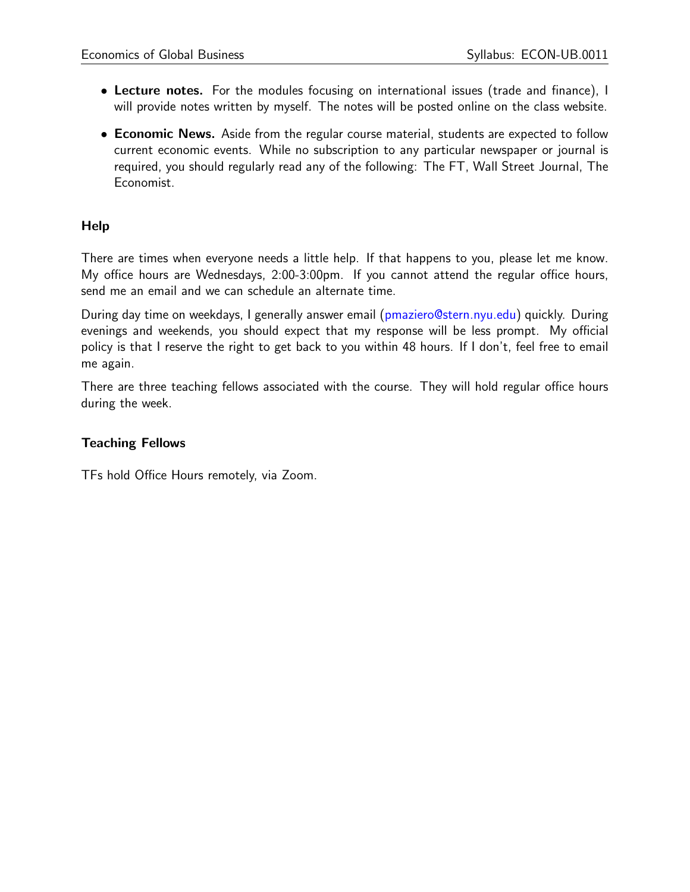- Lecture notes. For the modules focusing on international issues (trade and finance), I will provide notes written by myself. The notes will be posted online on the class website.
- **Economic News.** Aside from the regular course material, students are expected to follow current economic events. While no subscription to any particular newspaper or journal is required, you should regularly read any of the following: The FT, Wall Street Journal, The Economist.

#### **Help**

There are times when everyone needs a little help. If that happens to you, please let me know. My office hours are Wednesdays, 2:00-3:00pm. If you cannot attend the regular office hours, send me an email and we can schedule an alternate time.

During day time on weekdays, I generally answer email [\(pmaziero@stern.nyu.edu\)](mailto:pmaziero@stern.nyu.edu) quickly. During evenings and weekends, you should expect that my response will be less prompt. My official policy is that I reserve the right to get back to you within 48 hours. If I don't, feel free to email me again.

There are three teaching fellows associated with the course. They will hold regular office hours during the week.

#### Teaching Fellows

TFs hold Office Hours remotely, via Zoom.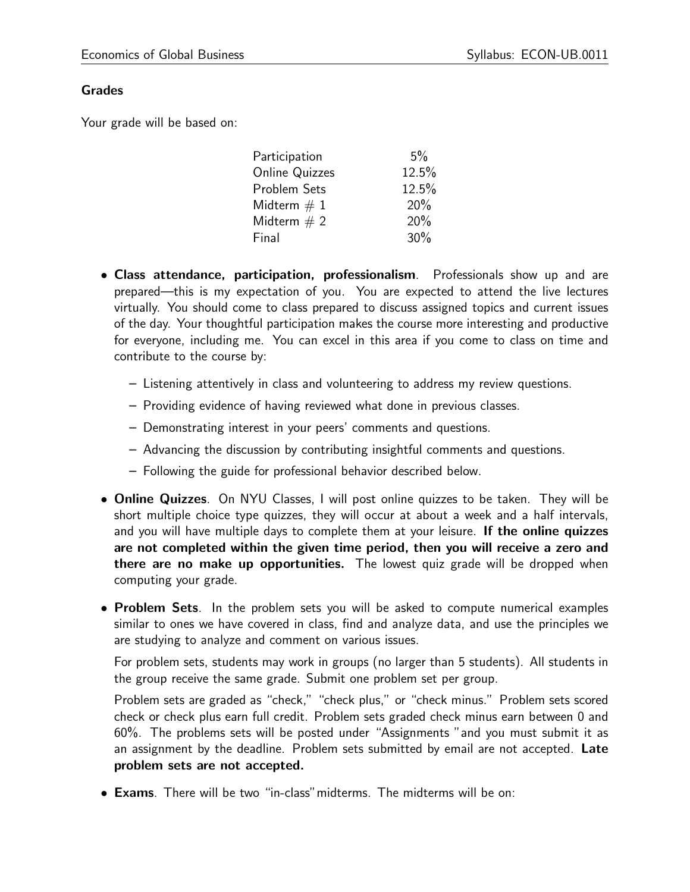#### Grades

Your grade will be based on:

| Participation         | $5\%$ |
|-----------------------|-------|
| <b>Online Quizzes</b> | 12.5% |
| Problem Sets          | 12.5% |
| Midterm $\#$ 1        | 20%   |
| Midterm $\# 2$        | 20%   |
| Final                 | 30%   |
|                       |       |

- Class attendance, participation, professionalism. Professionals show up and are prepared—this is my expectation of you. You are expected to attend the live lectures virtually. You should come to class prepared to discuss assigned topics and current issues of the day. Your thoughtful participation makes the course more interesting and productive for everyone, including me. You can excel in this area if you come to class on time and contribute to the course by:
	- Listening attentively in class and volunteering to address my review questions.
	- Providing evidence of having reviewed what done in previous classes.
	- Demonstrating interest in your peers' comments and questions.
	- Advancing the discussion by contributing insightful comments and questions.
	- Following the guide for professional behavior described below.
- Online Quizzes. On NYU Classes, I will post online quizzes to be taken. They will be short multiple choice type quizzes, they will occur at about a week and a half intervals, and you will have multiple days to complete them at your leisure. If the online quizzes are not completed within the given time period, then you will receive a zero and there are no make up opportunities. The lowest quiz grade will be dropped when computing your grade.
- **Problem Sets**. In the problem sets you will be asked to compute numerical examples similar to ones we have covered in class, find and analyze data, and use the principles we are studying to analyze and comment on various issues.

For problem sets, students may work in groups (no larger than 5 students). All students in the group receive the same grade. Submit one problem set per group.

Problem sets are graded as "check," "check plus," or "check minus." Problem sets scored check or check plus earn full credit. Problem sets graded check minus earn between 0 and 60%. The problems sets will be posted under "Assignments "and you must submit it as an assignment by the deadline. Problem sets submitted by email are not accepted. Late problem sets are not accepted.

• Exams. There will be two "in-class"midterms. The midterms will be on: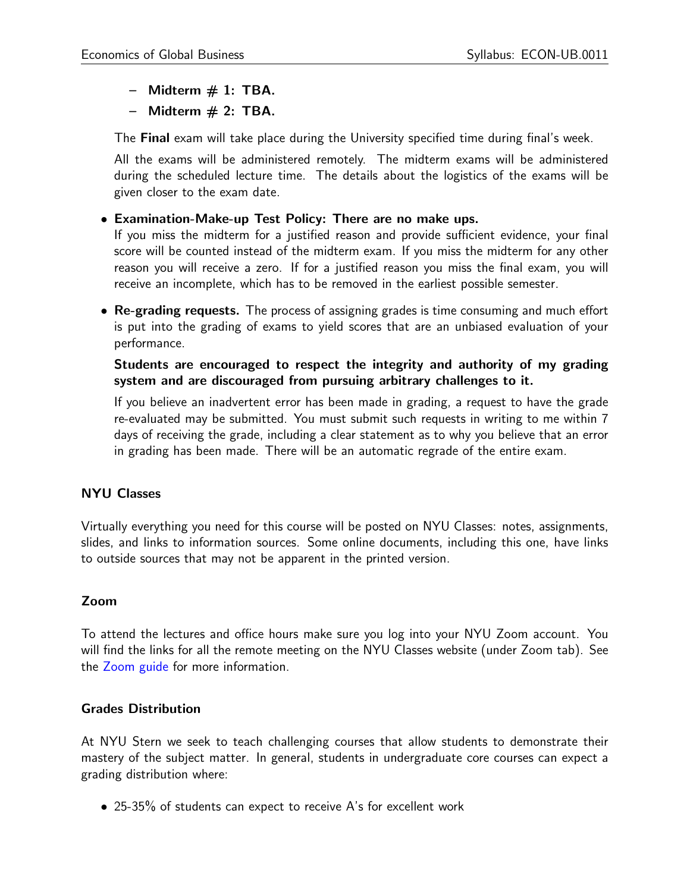- $-$  Midterm  $# 1$ : TBA.
- $-$  Midterm  $# 2: TBA$ .

The **Final** exam will take place during the University specified time during final's week.

All the exams will be administered remotely. The midterm exams will be administered during the scheduled lecture time. The details about the logistics of the exams will be given closer to the exam date.

#### • Examination-Make-up Test Policy: There are no make ups.

If you miss the midterm for a justified reason and provide sufficient evidence, your final score will be counted instead of the midterm exam. If you miss the midterm for any other reason you will receive a zero. If for a justified reason you miss the final exam, you will receive an incomplete, which has to be removed in the earliest possible semester.

• Re-grading requests. The process of assigning grades is time consuming and much effort is put into the grading of exams to yield scores that are an unbiased evaluation of your performance.

#### Students are encouraged to respect the integrity and authority of my grading system and are discouraged from pursuing arbitrary challenges to it.

If you believe an inadvertent error has been made in grading, a request to have the grade re-evaluated may be submitted. You must submit such requests in writing to me within 7 days of receiving the grade, including a clear statement as to why you believe that an error in grading has been made. There will be an automatic regrade of the entire exam.

## NYU Classes

Virtually everything you need for this course will be posted on NYU Classes: notes, assignments, slides, and links to information sources. Some online documents, including this one, have links to outside sources that may not be apparent in the printed version.

## Zoom

To attend the lectures and office hours make sure you log into your NYU Zoom account. You will find the links for all the remote meeting on the NYU Classes website (under Zoom tab). See the [Zoom guide](http://www.nyu.edu/servicelink/KB0016555) for more information.

#### Grades Distribution

At NYU Stern we seek to teach challenging courses that allow students to demonstrate their mastery of the subject matter. In general, students in undergraduate core courses can expect a grading distribution where:

• 25-35% of students can expect to receive A's for excellent work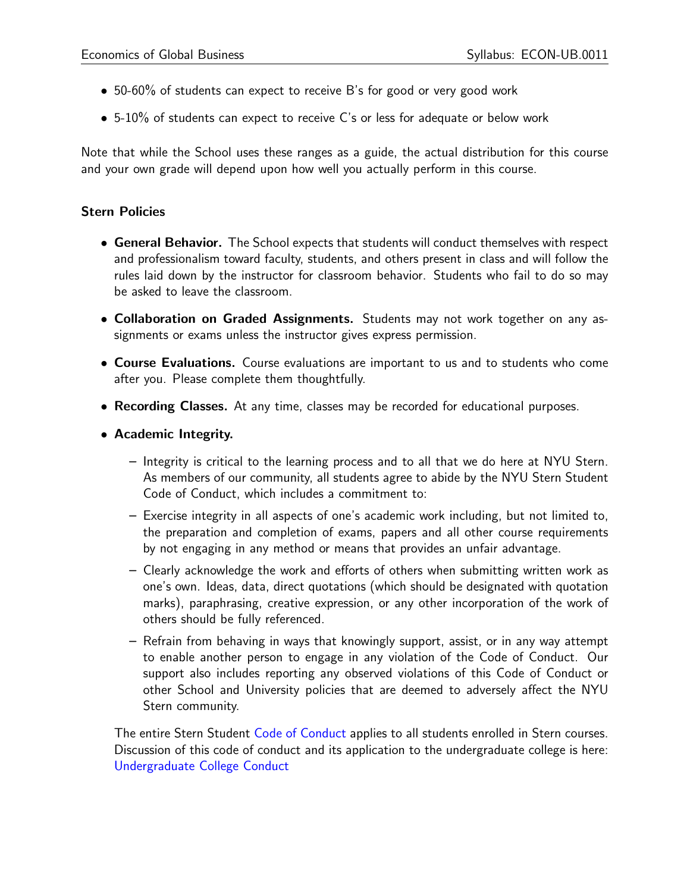- 50-60% of students can expect to receive B's for good or very good work
- 5-10% of students can expect to receive C's or less for adequate or below work

Note that while the School uses these ranges as a guide, the actual distribution for this course and your own grade will depend upon how well you actually perform in this course.

#### Stern Policies

- General Behavior. The School expects that students will conduct themselves with respect and professionalism toward faculty, students, and others present in class and will follow the rules laid down by the instructor for classroom behavior. Students who fail to do so may be asked to leave the classroom.
- Collaboration on Graded Assignments. Students may not work together on any assignments or exams unless the instructor gives express permission.
- Course Evaluations. Course evaluations are important to us and to students who come after you. Please complete them thoughtfully.
- Recording Classes. At any time, classes may be recorded for educational purposes.
- Academic Integrity.
	- Integrity is critical to the learning process and to all that we do here at NYU Stern. As members of our community, all students agree to abide by the NYU Stern Student Code of Conduct, which includes a commitment to:
	- Exercise integrity in all aspects of one's academic work including, but not limited to, the preparation and completion of exams, papers and all other course requirements by not engaging in any method or means that provides an unfair advantage.
	- Clearly acknowledge the work and efforts of others when submitting written work as one's own. Ideas, data, direct quotations (which should be designated with quotation marks), paraphrasing, creative expression, or any other incorporation of the work of others should be fully referenced.
	- Refrain from behaving in ways that knowingly support, assist, or in any way attempt to enable another person to engage in any violation of the Code of Conduct. Our support also includes reporting any observed violations of this Code of Conduct or other School and University policies that are deemed to adversely affect the NYU Stern community.

The entire Stern Student [Code of Conduct](http://www.stern.nyu.edu/sites/default/files/assets/documents/con_039512.pdf) applies to all students enrolled in Stern courses. Discussion of this code of conduct and its application to the undergraduate college is here: [Undergraduate College Conduct](http://www.stern.nyu.edu/uc/codeofconduct)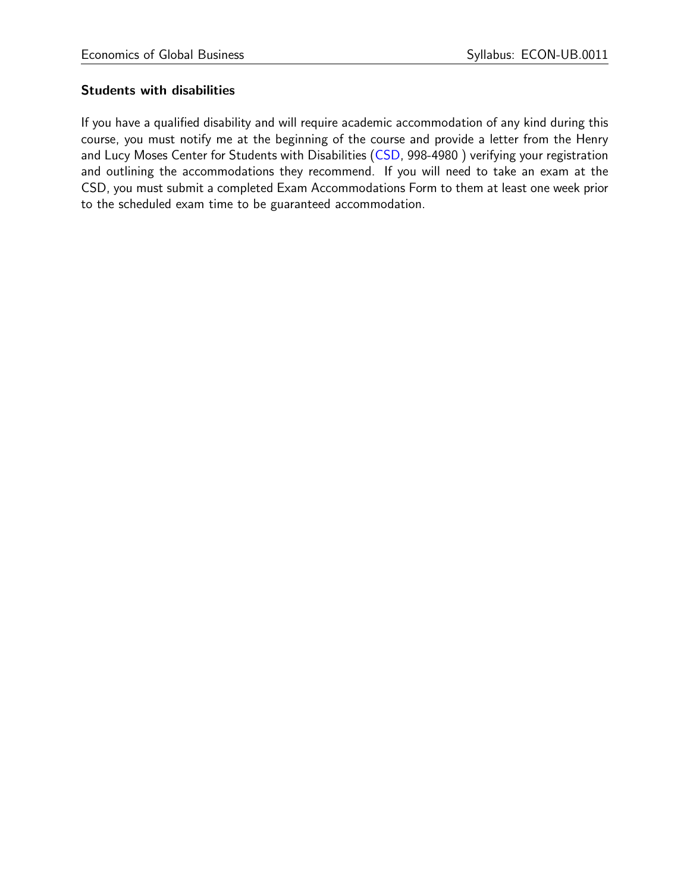## Students with disabilities

If you have a qualified disability and will require academic accommodation of any kind during this course, you must notify me at the beginning of the course and provide a letter from the Henry and Lucy Moses Center for Students with Disabilities [\(CSD,](http://www.nyu.edu/csd) 998-4980) verifying your registration and outlining the accommodations they recommend. If you will need to take an exam at the CSD, you must submit a completed Exam Accommodations Form to them at least one week prior to the scheduled exam time to be guaranteed accommodation.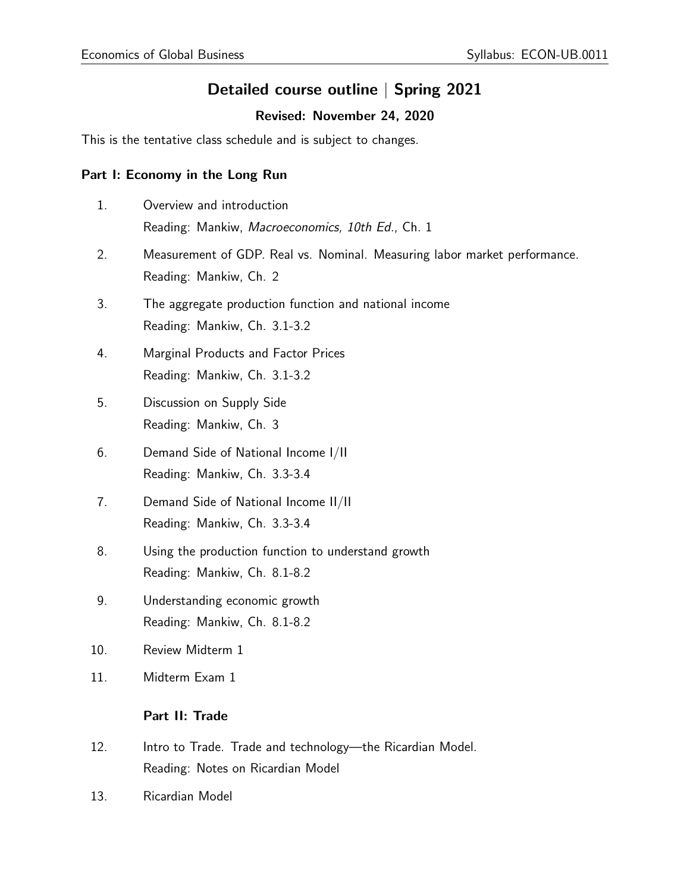## Detailed course outline | Spring 2021

## Revised: November 24, 2020

This is the tentative class schedule and is subject to changes.

#### Part I: Economy in the Long Run

- 1. Overview and introduction Reading: Mankiw, Macroeconomics, 10th Ed., Ch. 1
- 2. Measurement of GDP. Real vs. Nominal. Measuring labor market performance. Reading: Mankiw, Ch. 2
- 3. The aggregate production function and national income Reading: Mankiw, Ch. 3.1-3.2
- 4. Marginal Products and Factor Prices Reading: Mankiw, Ch. 3.1-3.2
- 5. Discussion on Supply Side Reading: Mankiw, Ch. 3
- 6. Demand Side of National Income I/II Reading: Mankiw, Ch. 3.3-3.4
- 7. Demand Side of National Income II/II Reading: Mankiw, Ch. 3.3-3.4
- 8. Using the production function to understand growth Reading: Mankiw, Ch. 8.1-8.2
- 9. Understanding economic growth Reading: Mankiw, Ch. 8.1-8.2
- 10. Review Midterm 1
- 11. Midterm Exam 1

## Part II: Trade

- 12. Intro to Trade. Trade and technology—the Ricardian Model. Reading: Notes on Ricardian Model
- 13. Ricardian Model